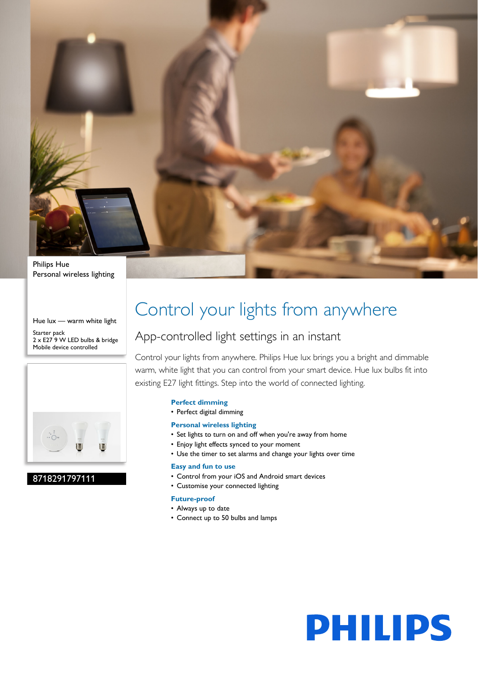

Personal wireless lighting

Hue lux — warm white light Starter pack 2 x E27 9 W LED bulbs & bridge Mobile device controlled



# 8718291797111

# Control your lights from anywhere

# App-controlled light settings in an instant

Control your lights from anywhere. Philips Hue lux brings you a bright and dimmable warm, white light that you can control from your smart device. Hue lux bulbs fit into existing E27 light fittings. Step into the world of connected lighting.

# **Perfect dimming**

• Perfect digital dimming

# **Personal wireless lighting**

- Set lights to turn on and off when you're away from home
- Enjoy light effects synced to your moment
- Use the timer to set alarms and change your lights over time

#### **Easy and fun to use**

- Control from your iOS and Android smart devices
- Customise your connected lighting

#### **Future-proof**

- Always up to date
- Connect up to 50 bulbs and lamps

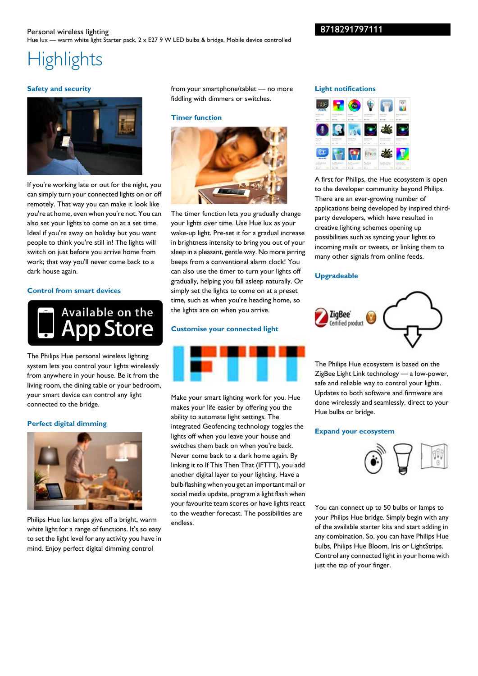# 8718291797111

# **Highlights**

## **Safety and security**



If you're working late or out for the night, you can simply turn your connected lights on or off remotely. That way you can make it look like you're at home, even when you're not. You can also set your lights to come on at a set time. Ideal if you're away on holiday but you want people to think you're still in! The lights will switch on just before you arrive home from work; that way you'll never come back to a dark house again.

**Control from smart devices**



The Philips Hue personal wireless lighting system lets you control your lights wirelessly from anywhere in your house. Be it from the living room, the dining table or your bedroom, your smart device can control any light connected to the bridge.

#### **Perfect digital dimming**



Philips Hue lux lamps give off a bright, warm white light for a range of functions. It's so easy to set the light level for any activity you have in mind. Enjoy perfect digital dimming control

from your smartphone/tablet — no more fiddling with dimmers or switches.

#### **Timer function**



The timer function lets you gradually change your lights over time. Use Hue lux as your wake-up light. Pre-set it for a gradual increase in brightness intensity to bring you out of your sleep in a pleasant, gentle way. No more jarring beeps from a conventional alarm clock! You can also use the timer to turn your lights off gradually, helping you fall asleep naturally. Or simply set the lights to come on at a preset time, such as when you're heading home, so the lights are on when you arrive.

### **Customise your connected light**



Make your smart lighting work for you. Hue makes your life easier by offering you the ability to automate light settings. The integrated Geofencing technology toggles the lights off when you leave your house and switches them back on when you're back. Never come back to a dark home again. By linking it to If This Then That (IFTTT), you add another digital layer to your lighting. Have a bulb flashing when you get an important mail or social media update, program a light flash when your favourite team scores or have lights react to the weather forecast. The possibilities are endless.

#### **Light notifications**



A first for Philips, the Hue ecosystem is open to the developer community beyond Philips. There are an ever-growing number of applications being developed by inspired thirdparty developers, which have resulted in creative lighting schemes opening up possibilities such as syncing your lights to incoming mails or tweets, or linking them to many other signals from online feeds.

#### **Upgradeable**



The Philips Hue ecosystem is based on the ZigBee Light Link technology — a low-power, safe and reliable way to control your lights. Updates to both software and firmware are done wirelessly and seamlessly, direct to your Hue bulbs or bridge.

#### **Expand your ecosystem**



You can connect up to 50 bulbs or lamps to your Philips Hue bridge. Simply begin with any of the available starter kits and start adding in any combination. So, you can have Philips Hue bulbs, Philips Hue Bloom, Iris or LightStrips. Control any connected light in your home with just the tap of your finger.